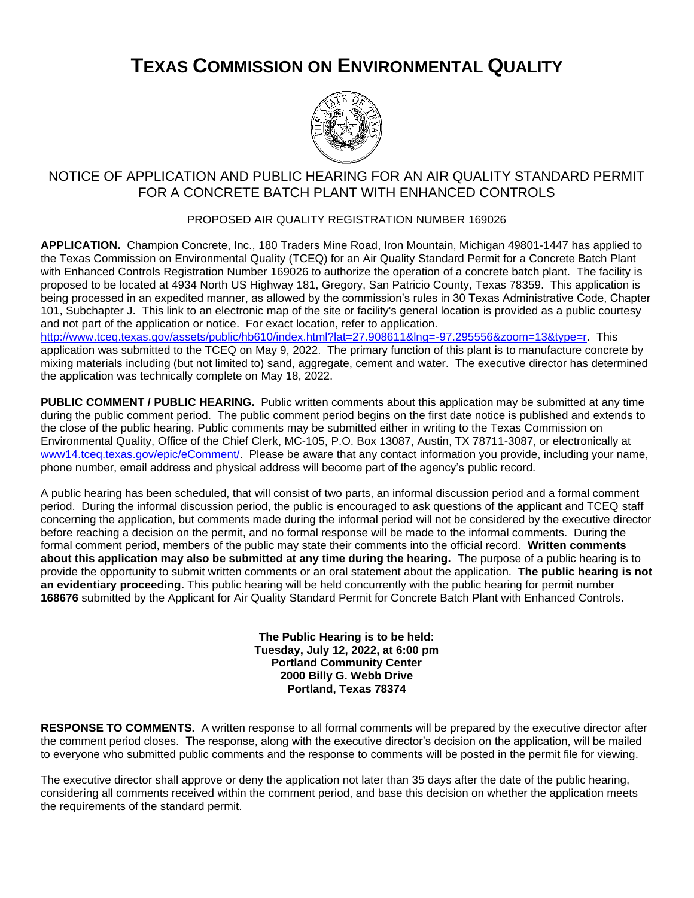## **TEXAS COMMISSION ON ENVIRONMENTAL QUALITY**



## NOTICE OF APPLICATION AND PUBLIC HEARING FOR AN AIR QUALITY STANDARD PERMIT FOR A CONCRETE BATCH PLANT WITH ENHANCED CONTROLS

## PROPOSED AIR QUALITY REGISTRATION NUMBER 169026

**APPLICATION.** Champion Concrete, Inc., 180 Traders Mine Road, Iron Mountain, Michigan 49801-1447 has applied to the Texas Commission on Environmental Quality (TCEQ) for an Air Quality Standard Permit for a Concrete Batch Plant with Enhanced Controls Registration Number 169026 to authorize the operation of a concrete batch plant. The facility is proposed to be located at 4934 North US Highway 181, Gregory, San Patricio County, Texas 78359. This application is being processed in an expedited manner, as allowed by the commission's rules in 30 Texas Administrative Code, Chapter 101, Subchapter J. This link to an electronic map of the site or facility's general location is provided as a public courtesy and not part of the application or notice. For exact location, refer to application.

[http://www.tceq.texas.gov/assets/public/hb610/index.html?lat=27.908611&lng=-97.295556&zoom=13&type=r.](http://www.tceq.texas.gov/assets/public/hb610/index.html?lat=27.908611&lng=-97.295556&zoom=13&type=r) This application was submitted to the TCEQ on May 9, 2022. The primary function of this plant is to manufacture concrete by mixing materials including (but not limited to) sand, aggregate, cement and water. The executive director has determined the application was technically complete on May 18, 2022.

**PUBLIC COMMENT / PUBLIC HEARING.** Public written comments about this application may be submitted at any time during the public comment period. The public comment period begins on the first date notice is published and extends to the close of the public hearing. Public comments may be submitted either in writing to the Texas Commission on Environmental Quality, Office of the Chief Clerk, MC-105, P.O. Box 13087, Austin, TX 78711-3087, or electronically at [www14.tceq.texas.gov/epic/eComment/.](https://www14.tceq.texas.gov/epic/eComment/) Please be aware that any contact information you provide, including your name, phone number, email address and physical address will become part of the agency's public record.

A public hearing has been scheduled, that will consist of two parts, an informal discussion period and a formal comment period. During the informal discussion period, the public is encouraged to ask questions of the applicant and TCEQ staff concerning the application, but comments made during the informal period will not be considered by the executive director before reaching a decision on the permit, and no formal response will be made to the informal comments. During the formal comment period, members of the public may state their comments into the official record. **Written comments about this application may also be submitted at any time during the hearing.** The purpose of a public hearing is to provide the opportunity to submit written comments or an oral statement about the application. **The public hearing is not an evidentiary proceeding.** This public hearing will be held concurrently with the public hearing for permit number **168676** submitted by the Applicant for Air Quality Standard Permit for Concrete Batch Plant with Enhanced Controls.

> **The Public Hearing is to be held: Tuesday, July 12, 2022, at 6:00 pm Portland Community Center 2000 Billy G. Webb Drive Portland, Texas 78374**

**RESPONSE TO COMMENTS.** A written response to all formal comments will be prepared by the executive director after the comment period closes. The response, along with the executive director's decision on the application, will be mailed to everyone who submitted public comments and the response to comments will be posted in the permit file for viewing.

The executive director shall approve or deny the application not later than 35 days after the date of the public hearing, considering all comments received within the comment period, and base this decision on whether the application meets the requirements of the standard permit.